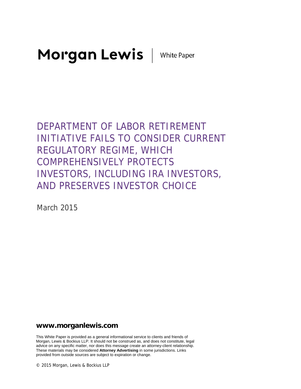Morgan Lewis | White Paper

DEPARTMENT OF LABOR RETIREMENT INITIATIVE FAILS TO CONSIDER CURRENT REGULATORY REGIME, WHICH COMPREHENSIVELY PROTECTS INVESTORS, INCLUDING IRA INVESTORS, AND PRESERVES INVESTOR CHOICE

March 2015

# **www.morganlewis.com**

This White Paper is provided as a general informational service to clients and friends of Morgan, Lewis & Bockius LLP. It should not be construed as, and does not constitute, legal advice on any specific matter, nor does this message create an attorney-client relationship. These materials may be considered **Attorney Advertising** in some jurisdictions. Links provided from outside sources are subject to expiration or change.

© 2015 Morgan, Lewis & Bockius LLP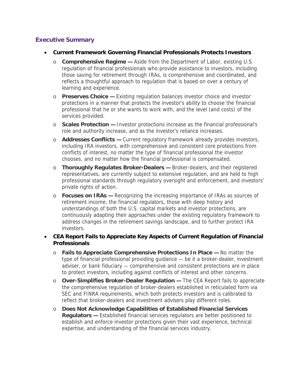# **Executive Summary**

#### **Current Framework Governing Financial Professionals Protects Investors**

- o **Comprehensive Regime** Aside from the Department of Labor, existing U.S. regulation of financial professionals who provide assistance to investors, including those saving for retirement through IRAs, is comprehensive and coordinated, and reflects a thoughtful approach to regulation that is based on over a century of learning and experience.
- o **Preserves Choice** Existing regulation balances investor choice and investor protections in a manner that protects the investor's ability to choose the financial professional that he or she wants to work with, and the level (and costs) of the services provided.
- o **Scales Protection** Investor protections increase as the financial professional's role and authority increase, and as the investor's reliance increases.
- o **Addresses Conflicts** Current regulatory framework already provides investors, including IRA investors, with comprehensive and consistent core protections from conflicts of interest, no matter the type of financial professional the investor chooses, and no matter how the financial professional is compensated.
- o **Thoroughly Regulates Broker-Dealers** Broker-dealers, and their registered representatives, are currently subject to extensive regulation, and are held to high professional standards through regulatory oversight and enforcement, and investors' private rights of action.
- o **Focuses on IRAs** Recognizing the increasing importance of IRAs as sources of retirement income, the financial regulators, those with deep history and understandings of both the U.S. capital markets and investor protections, are continuously adapting their approaches under the existing regulatory framework to address changes in the retirement savings landscape, and to further protect IRA investors.

### **CEA Report Fails to Appreciate Key Aspects of Current Regulation of Financial Professionals**

- o **Fails to Appreciate Comprehensive Protections In Place** No matter the type of financial professional providing guidance — be it a broker-dealer, investment adviser, or bank fiduciary — comprehensive and consistent protections are in place to protect investors, including against conflicts of interest and other concerns.
- o **Over-Simplifies Broker-Dealer Regulation** The CEA Report fails to appreciate the comprehensive regulation of broker-dealers established in reticulated form via SEC and FINRA requirements, which both protects investors and is calibrated to reflect that broker-dealers and investment advisers play different roles.
- o **Does Not Acknowledge Capabilities of Established Financial Services Regulators —** Established financial services regulators are better positioned to establish and enforce investor protections given their vast experience, technical expertise, and understanding of the financial services industry.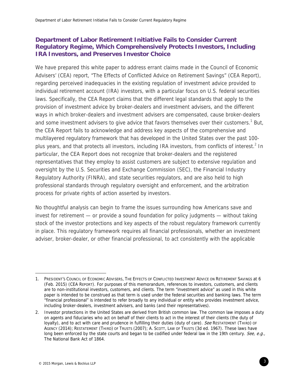# **Department of Labor Retirement Initiative Fails to Consider Current Regulatory Regime, Which Comprehensively Protects Investors, Including IRA Investors, and Preserves Investor Choice**

We have prepared this white paper to address errant claims made in the Council of Economic Advisers' (CEA) report, "The Effects of Conflicted Advice on Retirement Savings" (CEA Report), regarding perceived inadequacies in the existing regulation of investment advice provided to individual retirement account (IRA) investors, with a particular focus on U.S. federal securities laws. Specifically, the CEA Report claims that the different legal standards that apply to the provision of investment advice by broker-dealers and investment advisers, and the different ways in which broker-dealers and investment advisers are compensated, cause broker-dealers and some investment advisers to give advice that favors themselves over their customers.<sup>1</sup> But, the CEA Report fails to acknowledge and address key aspects of the comprehensive and multilayered regulatory framework that has developed in the United States over the past 100 plus years, and that protects all investors, including IRA investors, from conflicts of interest.<sup>2</sup> In particular, the CEA Report does not recognize that broker-dealers and the registered representatives that they employ to assist customers are subject to extensive regulation and oversight by the U.S. Securities and Exchange Commission (SEC), the Financial Industry Regulatory Authority (FINRA), and state securities regulators, and are also held to high professional standards through regulatory oversight and enforcement, and the arbitration process for private rights of action asserted by investors.

No thoughtful analysis can begin to frame the issues surrounding how Americans save and invest for retirement — or provide a sound foundation for policy judgments — without taking stock of the investor protections and key aspects of the robust regulatory framework currently in place. This regulatory framework requires all financial professionals, whether an investment adviser, broker-dealer, or other financial professional, to act consistently with the applicable

<sup>1.</sup> PRESIDENT'S COUNCIL OF ECONOMIC ADVISERS, THE EFFECTS OF CONFLICTED INVESTMENT ADVICE ON RETIREMENT SAVINGS at 6 (Feb. 2015) (CEA REPORT). For purposes of this memorandum, references to investors, customers, and clients are to non-institutional investors, customers, and clients. The term "investment advice" as used in this white paper is intended to be construed as that term is used under the federal securities and banking laws. The term "financial professional" is intended to refer broadly to any individual or entity who provides investment advice, including broker-dealers, investment advisers, and banks (and their representatives).

<sup>2.</sup> Investor protections in the United States are derived from British common law. The common law imposes a duty on agents and fiduciaries who act on behalf of their clients to act in the interest of their clients (the duty of loyalty), and to act with care and prudence in fulfilling their duties (duty of care). See RESTATEMENT (THIRD) OF AGENCY (2014); RESTATEMENT (THIRD) OF TRUSTS (2007); A. SCOTT, LAW OF TRUSTS (3d ed. 1967). These laws have long been enforced by the state courts and began to be codified under federal law in the 19th century. See, e.g., The National Bank Act of 1864.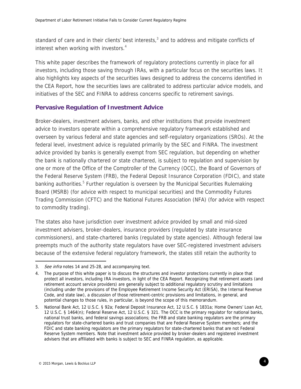standard of care and in their clients' best interests, $3$  and to address and mitigate conflicts of interest when working with investors. $4$ 

This white paper describes the framework of regulatory protections currently in place for all investors, including those saving through IRAs, with a particular focus on the securities laws. It also highlights key aspects of the securities laws designed to address the concerns identified in the CEA Report, how the securities laws are calibrated to address particular advice models, and initiatives of the SEC and FINRA to address concerns specific to retirement savings.

## **Pervasive Regulation of Investment Advice**

Broker-dealers, investment advisers, banks, and other institutions that provide investment advice to investors operate within a comprehensive regulatory framework established and overseen by various federal and state agencies and self-regulatory organizations (SROs). At the federal level, investment advice is regulated primarily by the SEC and FINRA. The investment advice provided by banks is generally exempt from SEC regulation, but depending on whether the bank is nationally chartered or state chartered, is subject to regulation and supervision by one or more of the Office of the Comptroller of the Currency (OCC), the Board of Governors of the Federal Reserve System (FRB), the Federal Deposit Insurance Corporation (FDIC), and state banking authorities.<sup>5</sup> Further regulation is overseen by the Municipal Securities Rulemaking Board (MSRB) (for advice with respect to municipal securities) and the Commodity Futures Trading Commission (CFTC) and the National Futures Association (NFA) (for advice with respect to commodity trading).

The states also have jurisdiction over investment advice provided by small and mid-sized investment advisers, broker-dealers, insurance providers (regulated by state insurance commissioners), and state-chartered banks (regulated by state agencies). Although federal law preempts much of the authority state regulators have over SEC-registered investment advisers because of the extensive federal regulatory framework, the states still retain the authority to

<sup>3.</sup> See infra notes 14 and 25-28, and accompanying text.

<sup>4.</sup> The purpose of this white paper is to discuss the structures and investor protections currently in place that protect all investors, including IRA investors, in light of the CEA Report. Recognizing that retirement assets (and retirement account service providers) are generally subject to additional regulatory scrutiny and limitations (including under the provisions of the Employee Retirement Income Security Act (ERISA), the Internal Revenue Code, and state law), a discussion of those retirement-centric provisions and limitations, in general, and potential changes to those rules, in particular, is beyond the scope of this memorandum.

<sup>5.</sup> National Bank Act, 12 U.S.C. § 92a; Federal Deposit Insurance Act, 12 U.S.C. § 1831a; Home Owners' Loan Act, 12 U.S.C. § 1464(n); Federal Reserve Act, 12 U.S.C. § 321. The OCC is the primary regulator for national banks, national trust banks, and federal savings associations; the FRB and state banking regulators are the primary regulators for state-chartered banks and trust companies that are Federal Reserve System members; and the FDIC and state banking regulators are the primary regulators for state-chartered banks that are not Federal Reserve System members. Note that investment advice provided by broker-dealers and registered investment advisers that are affiliated with banks is subject to SEC and FINRA regulation, as applicable.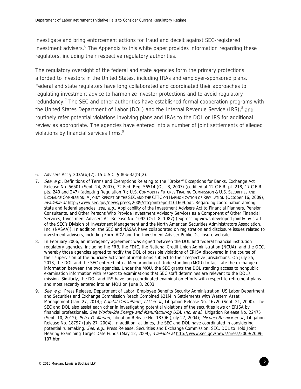investigate and bring enforcement actions for fraud and deceit against SEC-registered investment advisers.<sup>6</sup> The Appendix to this white paper provides information regarding these regulators, including their respective regulatory authorities.

The regulatory oversight of the federal and state agencies form the primary protections afforded to investors in the United States, including IRAs and employer-sponsored plans. Federal and state regulators have long collaborated and coordinated their approaches to regulating investment advice to harmonize investor protections and to avoid regulatory redundancy.<sup>7</sup> The SEC and other authorities have established formal cooperation programs with the United States Department of Labor (DOL) and the Internal Revenue Service (IRS), $^8$  and routinely refer potential violations involving plans and IRAs to the DOL or IRS for additional review as appropriate. The agencies have entered into a number of joint settlements of alleged violations by financial services firms.<sup>9</sup>

<sup>6.</sup> Advisers Act § 203A(b)(2), 15 U.S.C. § 80b-3a(b)(2).

<sup>7.</sup> See, e.g., Definitions of Terms and Exemptions Relating to the "Broker" Exceptions for Banks, Exchange Act Release No. 56501 (Sept. 24, 2007), 72 Fed. Reg. 56514 (Oct. 3, 2007) (codified at 12 C.F.R. pt. 218, 17 C.F.R. pts. 240 and 247) (adopting Regulation R); U.S. COMMODITY FUTURES TRADING COMMISSION & U.S. SECURITIES AND EXCHANGE COMMISSION, A JOINT REPORT OF THE SEC AND THE CFTC ON HARMONIZATION OF REGULATION (October 16, 2009), available at http://www.sec.gov/news/press/2009/cftcjointreport101609.pdf. Regarding coordination among state and federal agencies, see, e.g., Applicability of the Investment Advisers Act to Financial Planners, Pension Consultants, and Other Persons Who Provide Investment Advisory Services as a Component of Other Financial Services, Investment Advisers Act Release No. 1092 (Oct. 8, 1987) (expressing views developed jointly by staff of the SEC's Division of Investment Management and the North American Securities Administrators Association, Inc. (NASAA)). In addition, the SEC and NASAA have collaborated on registration and disclosure issues related to investment advisers, including Form ADV and the Investment Adviser Public Disclosure website.

<sup>8.</sup> In February 2006, an interagency agreement was signed between the DOL and federal financial institution regulatory agencies, including the FRB, the FDIC, the National Credit Union Administration (NCUA), and the OCC, whereby those agencies agreed to notify the DOL of possible violations of ERISA discovered in the course of their supervision of the fiduciary activities of institutions subject to their respective jurisdictions. On July 25, 2013, the DOL and the SEC entered into a Memorandum of Understanding (MOU) to facilitate the exchange of information between the two agencies. Under the MOU, the SEC grants the DOL standing access to nonpublic examination information with respect to examinations that SEC staff determines are relevant to the DOL's mission. Similarly, the DOL and IRS have long coordinated examination efforts with respect to retirement plans and most recently entered into an MOU on June 3, 2003.

<sup>9.</sup> See, e.g., Press Release, Department of Labor, Employee Benefits Security Administration, US Labor Department and Securities and Exchange Commission Reach Combined \$21M in Settlements with Western Asset Management (Jan. 27, 2014); Capital Consultants, LLC et al., Litigation Release No. 16720 (Sept. 21, 2000). The SEC and DOL also assist each other in investigating potential violations of the securities laws or ERISA by financial professionals. See Worldwide Energy and Manufacturing USA, Inc. et al., Litigation Release No. 22475 (Sept. 10, 2012); Peter O. Marion, Litigation Release No. 18796 (July 27, 2004); Michael Resnick et al., Litigation Release No. 18797 (July 27, 2004). In addition, at times, the SEC and DOL have coordinated in considering potential rulemaking. See, e.g., Press Release, Securities and Exchange Commission, SEC, DOL to Hold Joint Hearing Examining Target Date Funds (May 12, 2009), available at http://www.sec.gov/news/press/2009/2009-107.htm.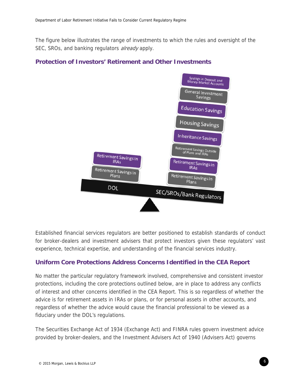The figure below illustrates the range of investments to which the rules and oversight of the SEC, SROs, and banking regulators *already* apply.

# **Protection of Investors' Retirement and Other Investments**



Established financial services regulators are better positioned to establish standards of conduct for broker-dealers and investment advisers that protect investors given these regulators' vast experience, technical expertise, and understanding of the financial services industry.

# **Uniform Core Protections Address Concerns Identified in the CEA Report**

No matter the particular regulatory framework involved, comprehensive and consistent investor protections, including the core protections outlined below, are in place to address any conflicts of interest and other concerns identified in the CEA Report. This is so regardless of whether the advice is for retirement assets in IRAs or plans, or for personal assets in other accounts, and regardless of whether the advice would cause the financial professional to be viewed as a fiduciary under the DOL's regulations.

The Securities Exchange Act of 1934 (Exchange Act) and FINRA rules govern investment advice provided by broker-dealers, and the Investment Advisers Act of 1940 (Advisers Act) governs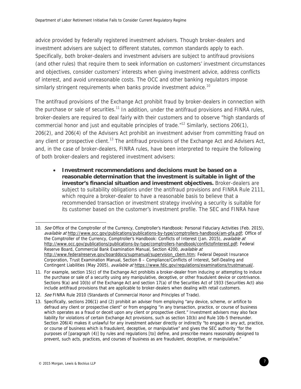advice provided by federally registered investment advisers. Though broker-dealers and investment advisers are subject to different statutes, common standards apply to each. Specifically, both broker-dealers and investment advisers are subject to antifraud provisions (and other rules) that require them to seek information on customers' investment circumstances and objectives, consider customers' interests when giving investment advice, address conflicts of interest, and avoid unreasonable costs. The OCC and other banking regulators impose similarly stringent requirements when banks provide investment advice.<sup>10</sup>

The antifraud provisions of the Exchange Act prohibit fraud by broker-dealers in connection with the purchase or sale of securities.<sup>11</sup> In addition, under the antifraud provisions and FINRA rules, broker-dealers are required to deal fairly with their customers and to observe "high standards of commercial honor and just and equitable principles of trade.<sup>"12</sup> Similarly, sections 206(1), 206(2), and 206(4) of the Advisers Act prohibit an investment adviser from committing fraud on any client or prospective client.<sup>13</sup> The antifraud provisions of the Exchange Act and Advisers Act, and, in the case of broker-dealers, FINRA rules, have been interpreted to require the following of both broker-dealers and registered investment advisers:

 **Investment recommendations and decisions must be based on a reasonable determination that the investment is suitable in light of the investor's financial situation and investment objectives.** Broker-dealers are subject to suitability obligations under the antifraud provisions and FINRA Rule 2111, which require a broker-dealer to have a reasonable basis to believe that a recommended transaction or investment strategy involving a security is suitable for its customer based on the customer's investment profile. The SEC and FINRA have

<sup>10.</sup> See Office of the Comptroller of the Currency, Comptroller's Handbook: Personal Fiduciary Activities (Feb. 2015), available at http://www.occ.gov/publications/publications-by-type/comptrollers-handbook/am-pfa.pdf; Office of the Comptroller of the Currency, Comptroller's Handbook: Conflicts of Interest (Jan. 2015), *available at* http://www.occ.gov/publications/publications-by-type/comptrollers-handbook/conflictofinterest.pdf; Federal Reserve Board, Commercial Bank Examination Manual, Section 4200, *available at* http://www.federalreserve.gov/boarddocs/supmanual/supervision\_cbem.htm; Federal Deposit Insurance Corporation, Trust Examination Manual, Section 8 – Compliance/Conflicts of Interest, Self-Dealing and Contingent Liabilities (May 2005), available at https://www.fdic.gov/regulations/examinations/trustmanual/.

<sup>11.</sup> For example, section 15(c) of the Exchange Act prohibits a broker-dealer from inducing or attempting to induce the purchase or sale of a security using any manipulative, deceptive, or other fraudulent device or contrivance. Sections 9(a) and 10(b) of the Exchange Act and section 17(a) of the Securities Act of 1933 (Securities Act) also include antifraud provisions that are applicable to broker-dealers when dealing with retail customers.

<sup>12.</sup> See FINRA Rule 2010 (Standards of Commercial Honor and Principles of Trade).

<sup>13.</sup> Specifically, sections 206(1) and (2) prohibit an adviser from employing "any device, scheme, or artifice to defraud any client or prospective client" or from engaging "in any transaction, practice, or course of business which operates as a fraud or deceit upon any client or prospective client." Investment advisers may also face liability for violations of certain Exchange Act provisions, such as section 10(b) and Rule 10b-5 thereunder. Section 206(4) makes it unlawful for any investment adviser directly or indirectly "to engage in any act, practice, or course of business which is fraudulent, deceptive, or manipulative" and gives the SEC authority "for the purposes of [paragraph (4)] by rules and regulations [to] define, and prescribe means reasonably designed to prevent, such acts, practices, and courses of business as are fraudulent, deceptive, or manipulative."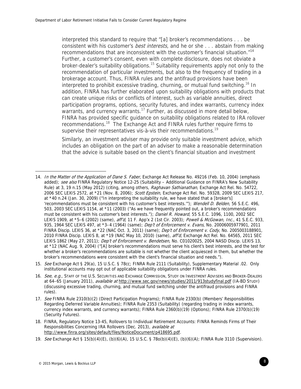interpreted this standard to require that "[a] broker's recommendations . . . be consistent with his customer's *best interests*, and he or she . . . abstain from making recommendations that are inconsistent with the customer's financial situation."<sup>14</sup> Further, a customer's consent, even with complete disclosure, does not obviate a broker-dealer's suitability obligations.<sup>15</sup> Suitability requirements apply not only to the recommendation of particular investments, but also to the frequency of trading in a brokerage account. Thus, FINRA rules and the antifraud provisions have been interpreted to prohibit excessive trading, churning, or mutual fund switching.<sup>16</sup> In addition, FINRA has further elaborated upon suitability obligations with products that can create unique risks or conflicts of interest, such as variable annuities, direct participation programs, options, security futures, and index warrants, currency index warrants, and currency warrants.<sup>17</sup> Further, as discussed in more detail below, FINRA has provided specific guidance on suitability obligations related to IRA rollover recommendations.18 The Exchange Act and FINRA rules further require firms to supervise their representatives vis-à-vis their recommendations.<sup>19</sup>

Similarly, an investment adviser may provide only suitable investment advice, which includes an obligation on the part of an adviser to make a reasonable determination that the advice is suitable based on the client's financial situation and investment

<sup>14.</sup> In the Matter of the Application of Dane S. Faber, Exchange Act Release No. 49216 (Feb. 10, 2004) (emphasis added); see also FINRA Regulatory Notice 12-25 (Suitability - Additional Guidance on FINRA's New Suitability Rule) at 3, 19 n.15 (May 2012) (citing, among others, Raghavan Sathianathan, Exchange Act Rel. No. 54722, 2006 SEC LEXIS 2572, at \*21 (Nov. 8, 2006); Scott Epstein, Exchange Act Rel. No. 59328, 2009 SEC LEXIS 217, at \*40 n.24 (Jan. 30, 2009) ("In interpreting the suitability rule, we have stated that a [broker's] 'recommendations must be consistent with his customer's best interests.'"); Wendell D. Belden, 56 S.E.C. 496, 503, 2003 SEC LEXIS 1154, at \*11 (2003) ("As we have frequently pointed out, a broker's recommendations must be consistent with his customer's best interests."); Daniel R. Howard, 55 S.E.C. 1096, 1100, 2002 SEC LEXIS 1909, at \*5–6 (2002) (same), aff'd, 11 F. App'x 2 (1st Cir. 2003); Powell & McGowan, Inc., 41 S.E.C. 933, 935, 1964 SEC LEXIS 497, at \*3-4 (1964) (same); Dep't of Enforcement v. Evans, No. 20006005977901, 2011 FINRA Discip. LEXIS 36, at \*22 (NAC Oct. 3, 2011) (same); Dep't of Enforcement v. Cody, No. 2005003188901, 2010 FINRA Discip. LEXIS 8, at \*19 (NAC May 10, 2010) (same), aff'd, Exchange Act Rel. No. 64565, 2011 SEC LEXIS 1862 (May 27, 2011); Dep't of Enforcement v. Bendetsen, No. C01020025, 2004 NASD Discip. LEXIS 13, at \*12 (NAC Aug. 9, 2004) ("[A] broker's recommendations must serve his client's best interests, and the test for whether a broker's recommendations are suitable is not whether the client acquiesced in them, but whether the broker's recommendations were consistent with the client's financial situation and needs.").

<sup>15.</sup> See Exchange Act § 29(a), 15 U.S.C. § 78cc; FINRA Rule 2111 (Suitability), Supplementary Material .02. Only institutional accounts may opt out of applicable suitability obligations under FINRA rules.

<sup>16.</sup> See, e.g., STAFF OF THE U.S. SECURITIES AND EXCHANGE COMMISSION, STUDY ON INVESTMENT ADVISERS AND BROKER-DEALERS at 64–65 (January 2011), available at http://www.sec.gov/news/studies/2011/913studyfinal.pdf (IA-BD STUDY) (discussing excessive trading, churning, and mutual fund switching under the antifraud provisions and FINRA rules).

<sup>17.</sup> See FINRA Rule 2310(b)(2) (Direct Participation Programs); FINRA Rule 2330(b) (Members' Responsibilities Regarding Deferred Variable Annuities); FINRA Rule 2353 (Suitability) (regarding trading in index warrants, currency index warrants, and currency warrants); FINRA Rule 2360(b)(19) (Options); FINRA Rule 2370(b)(19) (Security Futures).

<sup>18.</sup> FINRA, Regulatory Notice 13-45, Rollovers to Individual Retirement Accounts: FINRA Reminds Firms of Their Responsibilities Concerning IRA Rollovers (Dec. 2013), available at http://www.finra.org/sites/default/files/NoticeDocument/p418695.pdf.

<sup>19.</sup> See Exchange Act § 15(b)(4)(E), (b)(6)(A), 15 U.S.C. § 78o(b)(4)(E), (b)(6)(A); FINRA Rule 3110 (Supervision).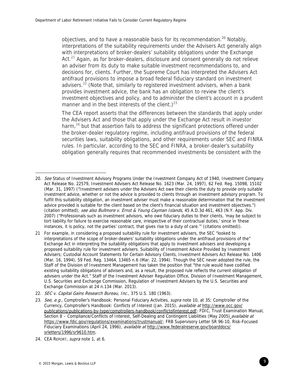objectives, and to have a reasonable basis for its recommendation.<sup>20</sup> Notably, interpretations of the suitability requirements under the Advisers Act generally align with interpretations of broker-dealers' suitability obligations under the Exchange Act. $21$  Again, as for broker-dealers, disclosure and consent generally do not relieve an adviser from its duty to make suitable investment recommendations to, and decisions for, clients. Further, the Supreme Court has interpreted the Advisers Act antifraud provisions to impose a broad federal fiduciary standard on investment advisers.<sup>22</sup> (Note that, similarly to registered investment advisers, when a bank provides investment advice, the bank has an obligation to review the client's investment objectives and policy, and to administer the client's account in a prudent manner and in the best interests of the client.)<sup>23</sup>

The CEA report asserts that the differences between the standards that apply under the Advisers Act and those that apply under the Exchange Act result in investor harm, $24$  but that assertion fails to address the significant protections offered under the broker-dealer regulatory regime, including antifraud provisions of the federal securities laws, suitability obligations, and other requirements under SEC and FINRA rules. In particular, according to the SEC and FINRA, a broker-dealer's suitability obligation generally requires that recommended investments be consistent with the

 $\overline{a}$ 20. See Status of Investment Advisory Programs Under the Investment Company Act of 1940, Investment Company Act Release No. 22579, Investment Advisers Act Release No. 1623 (Mar. 24, 1997), 62 Fed. Reg. 15098, 15102 (Mar. 31, 1997) ("Investment advisers under the Advisers Act owe their clients the duty to provide only suitable investment advice, whether or not the advice is provided to clients through an investment advisory program. To fulfill this suitability obligation, an investment adviser must make a reasonable determination that the investment advice provided is suitable for the client based on the client's financial situation and investment objectives.") (citation omitted); see also Bullmore v. Ernst & Young Cayman Islands, 45 A.D.3d 461, 463 (N.Y. App. Div. 2007) ("Professionals such as investment advisors, who owe fiduciary duties to their clients, 'may be subject to tort liability for failure to exercise reasonable care, irrespective of their contractual duties,' since in 'these instances, it is policy, not the parties' contract, that gives rise to a duty of care.'" (citations omitted)).

<sup>21</sup> For example, in considering a proposed suitability rule for investment advisers, the SEC "looked to interpretations of the scope of broker-dealers' suitability obligations under the antifraud provisions of the" Exchange Act in interpreting the suitability obligations that apply to investment advisers and developing a proposed suitability rule for investment advisers. Suitability of Investment Advice Provided by Investment Advisers; Custodial Account Statements for Certain Advisory Clients, Investment Advisers Act Release No. 1406 (Mar. 16, 1994), 59 Fed. Reg. 13464, 13465 n.6 (Mar. 22, 1994). Though the SEC never adopted the rule, the Staff of the Division of Investment Management has taken the position that "the rule would have codified existing suitability obligations of advisers and, as a result, the proposed rule reflects the current obligation of advisers under the Act." Staff of the Investment Adviser Regulation Office, Division of Investment Management, U.S. Securities and Exchange Commission, Regulation of Investment Advisers by the U.S. Securities and Exchange Commission at 24 n.134 (Mar. 2013).

<sup>22.</sup> SEC v. Capital Gains Research Bureau, Inc., 375 U.S. 180 (1963).

<sup>23.</sup> See, e.g., Comptroller's Handbook: Personal Fiduciary Activities, supra note 10, at 35; Comptroller of the Currency, Comptroller's Handbook: Conflicts of Interest (Jan. 2015), available at http://www.occ.gov/ publications/publications-by-type/comptrollers-handbook/conflictofinterest.pdf; FDIC, Trust Examination Manual, Section 8 – Compliance/Conflicts of Interest, Self-Dealing and Contingent Liabilities (May 2005) *available at* https://www.fdic.gov/regulations/examinations/trustmanual/; FRB Supervisory Letter SR 96-10, Risk-Focused Fiduciary Examinations (April 24, 1996), available at http://www.federalreserve.gov/boarddocs/ srletters/1996/sr9610.htm.

<sup>24.</sup> CEA REPORT, supra note 1, at 6.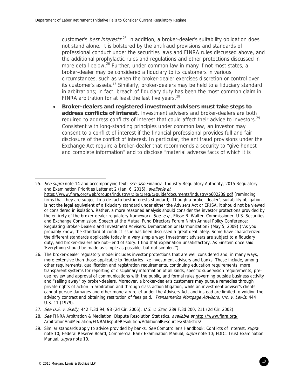customer's *best interests*.<sup>25</sup> In addition, a broker-dealer's suitability obligation does not stand alone. It is bolstered by the antifraud provisions and standards of professional conduct under the securities laws and FINRA rules discussed above, and the additional prophylactic rules and regulations and other protections discussed in more detail below.<sup>26</sup> Further, under common law in many if not most states, a broker-dealer may be considered a fiduciary to its customers in various circumstances, such as when the broker-dealer exercises discretion or control over its customer's assets.<sup>27</sup> Similarly, broker-dealers may be held to a fiduciary standard in arbitrations; in fact, breach of fiduciary duty has been the most common claim in FINRA arbitration for at least the last five years. $^{28}$ 

 **Broker-dealers and registered investment advisers must take steps to address conflicts of interest.** Investment advisers and broker-dealers are both required to address conflicts of interest that could affect their advice to investors.<sup>29</sup> Consistent with long-standing principles under common law, an investor may consent to a conflict of interest if the financial professional provides full and fair disclosure of the conflict of interest. In particular, the antifraud provisions under the Exchange Act require a broker-dealer that recommends a security to "give honest and complete information" and to disclose "material adverse facts of which it is

<sup>25.</sup> See supra note 14 and accompanying text; see also Financial Industry Regulatory Authority, 2015 Regulatory and Examination Priorities Letter at 2 (Jan. 6, 2015), available at https://www.finra.org/web/groups/industry/@ip/@reg/@guide/documents/industry/p602239.pdf (reminding firms that they are subject to a de facto best interests standard). Though a broker-dealer's suitability obligation is not the legal equivalent of a fiduciary standard under either the Advisers Act or ERISA, it should not be viewed or considered in isolation. Rather, a more reasoned analysis should consider the investor protections provided by the entirety of the broker-dealer regulatory framework. See, e.g., Elisse B. Walter, Commissioner, U.S. Securities and Exchange Commission, Speech at the Mutual Fund Directors Forum Ninth Annual Policy Conference: Regulating Broker-Dealers and Investment Advisers: Demarcation or Harmonization? (May 5, 2009) ("As you probably know, the standard of conduct issue has been discussed a great deal lately. Some have characterized the different standards applicable today in a very simple way: Investment advisers are subject to a fiduciary duty, and broker-dealers are not—end of story. I find that explanation unsatisfactory. As Einstein once said, 'Everything should be made as simple as possible, but not simpler.'").

<sup>26.</sup> The broker-dealer regulatory model includes investor protections that are well considered and, in many ways, more extensive than those applicable to fiduciaries like investment advisers and banks. These include, among other requirements, qualification and registration requirements, continuing education requirements, more transparent systems for reporting of disciplinary information of all kinds, specific supervision requirements, preuse review and approval of communications with the public, and formal rules governing outside business activity and "selling away" by broker-dealers. Moreover, a broker-dealer's customers may pursue remedies through private rights of action in arbitration and through class action litigation, while an investment adviser's clients cannot pursue damages and other monetary relief under the Advisers Act, and instead are limited to voiding the advisory contract and obtaining restitution of fees paid. Transamerica Mortgage Advisors, Inc. v. Lewis, 444 U.S. 11 (1979).

<sup>27.</sup> See U.S. v. Skelly, 442 F.3d 94, 98 (2d Cir. 2006); U.S. v. Szur, 289 F.3d 200, 211 (2d Cir. 2002).

<sup>28.</sup> See FINRA Arbitration & Mediation, Dispute Resolution Statistics, available at http://www.finra.org/ ArbitrationAndMediation/FINRADisputeResolution/AdditionalResources/Statistics/.

<sup>29.</sup> Similar standards apply to advice provided by banks. See Comptroller's Handbook: Conflicts of Interest, supra note 10; Federal Reserve Board, Commercial Bank Examination Manual, *supra* note 10; FDIC, Trust Examination Manual, supra note 10.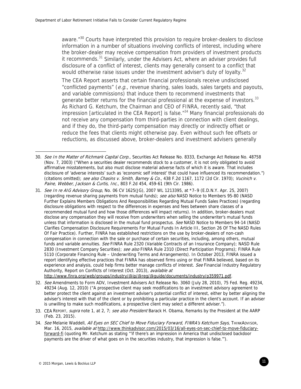aware."<sup>30</sup> Courts have interpreted this provision to require broker-dealers to disclose information in a number of situations involving conflicts of interest, including where the broker-dealer may receive compensation from providers of investment products it recommends.<sup>31</sup> Similarly, under the Advisers Act, where an adviser provides full disclosure of a conflict of interest, clients may generally consent to a conflict that would otherwise raise issues under the investment adviser's duty of loyalty.<sup>32</sup>

The CEA Report asserts that certain financial professionals receive undisclosed "conflicted payments" ( $e.g.,$  revenue sharing, sales loads, sales targets and payouts, and variable commissions) that induce them to recommend investments that generate better returns for the financial professional at the expense of investors.<sup>33</sup> As Richard G. Ketchum, the Chairman and CEO of FINRA, recently said, "that impression [articulated in the CEA Report] is false. $134$  Many financial professionals do not receive any compensation from third-parties in connection with client dealings, and if they do, the third-party compensation may directly or indirectly offset or reduce the fees that clients might otherwise pay. Even without such fee offsets or reductions, as discussed above, broker-dealers and investment advisers generally

34. See Melanie Waddell, All Eyes on SEC Chief to Move Fiduciary Forward, FINRA's Ketchum Says, THINKADVISOR, Mar. 16, 2015, available at http://www.thinkadvisor.com/2015/03/16/all-eyes-on-sec-chief-to-move-fiduciaryforward-fi (quoting Mr. Ketchum as stating "'if there's an impression in America that undisclosed backdoor payments are the driver of what goes on in the securities industry, that impression is false.'").

<sup>30.</sup> See In the Matter of Richmark Capital Corp., Securities Act Release No. 8333, Exchange Act Release No. 48758 (Nov. 7, 2003) ("When a securities dealer recommends stock to a customer, it is not only obligated to avoid affirmative misstatements, but also must disclose material adverse facts of which it is aware. That includes disclosure of 'adverse interests' such as 'economic self interest' that could have influenced its recommendation.") (citations omitted); see also Chasins v. Smith, Barney & Co., 438 F.2d 1167, 1172 (2d Cir. 1970); Vucinich v. Paine, Webber, Jackson & Curtis, Inc., 803 F.2d 454, 459-61 (9th Cir. 1986).

<sup>31.</sup> See In re AIG Advisory Group, No. 06 CV 1625(JG), 2007 WL 1213395, at \*7–9 (E.D.N.Y. Apr. 25, 2007) (regarding revenue sharing payments from mutual funds); see also NASD Notice to Members 95-80 (NASD Further Explains Members Obligations And Responsibilities Regarding Mutual Funds Sales Practices) (regarding disclosure obligations with respect to the differences in expenses and fees between share classes of a recommended mutual fund and how those differences will impact returns). In addition, broker-dealers must disclose any compensation they will receive from underwriters when selling the underwriter's mutual funds unless that information is disclosed in the mutual fund prospectus. See NASD Notice to Members 94-14 (NASD Clarifies Compensation Disclosure Requirements For Mutual Funds In Article III, Section 26 Of The NASD Rules Of Fair Practice). Further, FINRA has established restrictions on the use by broker-dealers of non-cash compensation in connection with the sale or purchase of certain securities, including, among others, mutual funds and variable annuities. See FINRA Rule 2320 (Variable Contracts of an Insurance Company); NASD Rule 2830 (Investment Company Securities); see also FINRA Rule 2310 (Direct Participation Programs); FINRA Rule 5110 (Corporate Financing Rule – Underwriting Terms and Arrangements). In October 2013, FINRA issued a report identifying effective practices that FINRA has observed firms using or that FINRA believed, based on its experience and analysis, could help firms better manage conflicts of interest. See Financial Industry Regulatory Authority, Report on Conflicts of Interest (Oct. 2013), available at

http://www.finra.org/web/groups/industry/@ip/@reg/@guide/documents/industry/p359971.pdf.

<sup>32.</sup> See Amendments to Form ADV, Investment Advisers Act Release No. 3060 (July 28, 2010), 75 Fed. Reg. 49234, 49234 (Aug. 12, 2010) ("A prospective client may seek modifications to an investment advisory agreement to better protect the client against an investment adviser's potential conflict of interest, either by better aligning the adviser's interest with that of the client or by prohibiting a particular practice in the client's account. If an adviser is unwilling to make such modifications, a prospective client may select a different adviser.").

<sup>33.</sup> CEA REPORT, supra note 1, at 2, 7; see also President Barack H. Obama, Remarks by the President at the AARP (Feb. 23, 2015).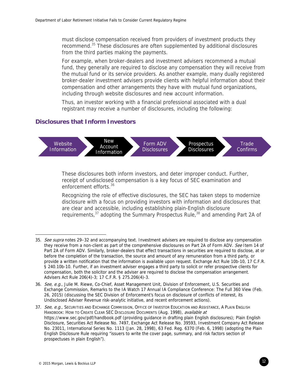must disclose compensation received from providers of investment products they recommend.35 These disclosures are often supplemented by additional disclosures from the third parties making the payments.

For example, when broker-dealers and investment advisers recommend a mutual fund, they generally are required to disclose any compensation they will receive from the mutual fund or its service providers. As another example, many dually registered broker-dealer investment advisers provide clients with helpful information about their compensation and other arrangements they have with mutual fund organizations, including through website disclosures and new account information.

Thus, an investor working with a financial professional associated with a dual registrant may receive a number of disclosures, including the following:

## **Disclosures that Inform Investors**



These disclosures both inform investors, and deter improper conduct. Further, receipt of undisclosed compensation is a key focus of SEC examination and enforcement efforts.<sup>36</sup>

Recognizing the role of effective disclosures, the SEC has taken steps to modernize disclosure with a focus on providing investors with information and disclosures that are clear and accessible, including establishing plain-English disclosure requirements,  $37$  adopting the Summary Prospectus Rule,  $38$  and amending Part 2A of

37. See, e.g., SECURITIES AND EXCHANGE COMMISSION, OFFICE OF INVESTOR EDUCATION AND ASSISTANCE, A PLAIN ENGLISH HANDBOOK: HOW TO CREATE CLEAR SEC DISCLOSURE DOCUMENTS (Aug. 1998), available at https://www.sec.gov/pdf/handbook.pdf (providing guidance in drafting plain English disclosures); Plain English Disclosure, Securities Act Release No. 7497, Exchange Act Release No. 39593, Investment Company Act Release No. 23011, International Series No. 1113 (Jan. 28, 1998), 63 Fed. Reg. 6370 (Feb. 6, 1998) (adopting the Plain English Disclosure Rule requiring "issuers to write the cover page, summary, and risk factors section of prospectuses in plain English").

<sup>35.</sup> See supra notes 29-32 and accompanying text. Investment advisers are required to disclose any compensation they receive from a non-client as part of the comprehensive disclosures on Part 2A of Form ADV. See Item 14 of Part 2A of Form ADV. Similarly, broker-dealers that effect transactions in securities are required to disclose, at or before the completion of the transaction, the source and amount of any remuneration from a third party, or provide a written notification that the information is available upon request. Exchange Act Rule 10b-10, 17 C.F.R. § 240.10b-10. Further, if an investment adviser engages a third party to solicit or refer prospective clients for compensation, both the solicitor and the adviser are required to disclose the compensation arrangement. Advisers Act Rule 206(4)-3; 17 C.F.R. § 275.206(4)-3.

<sup>36.</sup> See, e.g., Julie M. Riewe, Co-Chief, Asset Management Unit, Division of Enforcement, U.S. Securities and Exchange Commission, Remarks to the IA Watch 17 Annual IA Compliance Conference: The Full 360 View (Feb. 26, 2015) (discussing the SEC Division of Enforcement's focus on disclosure of conflicts of interest, its Undisclosed Adviser Revenue risk-analytic initiative, and recent enforcement actions).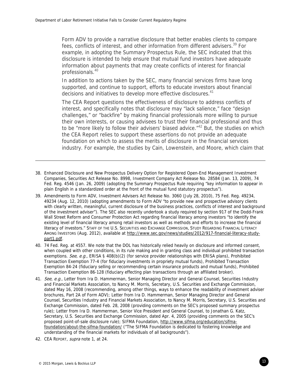Form ADV to provide a narrative disclosure that better enables clients to compare fees, conflicts of interest, and other information from different advisers.<sup>39</sup> For example, in adopting the Summary Prospectus Rule, the SEC indicated that this disclosure is intended to help ensure that mutual fund investors have adequate information about payments that may create conflicts of interest for financial professionals.40

In addition to actions taken by the SEC, many financial services firms have long supported, and continue to support, efforts to educate investors about financial decisions and initiatives to develop more effective disclosures.<sup>41</sup>

The CEA Report questions the effectiveness of disclosure to address conflicts of interest, and specifically notes that disclosure may "lack salience," face "design challenges," or "backfire" by making financial professionals more willing to pursue their own interests, or causing advisees to trust their financial professional and thus to be "more likely to follow their advisers' biased advice."<sup>42</sup> But, the studies on which the CEA Report relies to support these assertions do not provide an adequate foundation on which to assess the merits of disclosure in the financial services industry. For example, the studies by Cain, Lowenstein, and Moore, which claim that

- 38. Enhanced Disclosure and New Prospectus Delivery Option for Registered Open-End Management Investment Companies, Securities Act Release No. 8998, Investment Company Act Release No. 28584 (Jan. 13, 2009), 74 Fed. Reg. 4546 (Jan. 26, 2009) (adopting the Summary Prospectus Rule requiring "key information to appear in plain English in a standardized order at the front of the mutual fund statutory prospectus").
- 39. Amendments to Form ADV, Investment Advisers Act Release No. 3060 (July 28, 2010), 75 Fed. Reg. 49234, 49234 (Aug. 12, 2010) (adopting amendments to Form ADV "to provide new and prospective advisory clients with clearly written, meaningful, current disclosure of the business practices, conflicts of interest and background of the investment adviser"). The SEC also recently undertook a study required by section 917 of the Dodd-Frank Wall Street Reform and Consumer Protection Act regarding financial literacy among investors "to identify the existing level of financial literacy among retail investors as well as methods and efforts to increase the financial literacy of investors." STAFF OF THE U.S. SECURITIES AND EXCHANGE COMMISSION, STUDY REGARDING FINANCIAL LITERACY AMONG INVESTORS (Aug. 2012), available at http://www.sec.gov/news/studies/2012/917-financial-literacy-studypart1.pdf.
- 40. 74 Fed. Reg. at 4557. We note that the DOL has historically relied heavily on disclosure and informed consent, when coupled with other conditions, in its rule making and in granting class and individual prohibited transaction exemptions. See, e.g., ERISA § 408(b)(2) (for service provider relationships with ERISA plans), Prohibited Transaction Exemption 77-4 (for fiduciary investments in propriety mutual funds), Prohibited Transaction Exemption 84-24 (fiduciary selling or recommending certain insurance products and mutual funds), Prohibited Transaction Exemption 86-128 (fiduciary effecting plan transactions through an affiliated broker).
- 41. See, e.g., Letter from Ira D. Hammerman, Senior Managing Director and General Counsel, Securities Industry and Financial Markets Association, to Nancy M. Morris, Secretary, U.S. Securities and Exchange Commission, dated May 16, 2008 (recommending, among other things, ways to enhance the readability of investment adviser brochures, Part 2A of Form ADV); Letter from Ira D. Hammerman, Senior Managing Director and General Counsel, Securities Industry and Financial Markets Association, to Nancy M. Morris, Secretary, U.S. Securities and Exchange Commission, dated Feb. 28, 2008 (providing comments on the SEC's proposed summary prospectus rule); Letter from Ira D. Hammerman, Senior Vice President and General Counsel, to Jonathan G. Katz, Secretary, U.S. Securities and Exchange Commission, dated Apr. 4, 2005 (providing comments on the SEC's proposed point-of-sale disclosure rule); SIFMA Foundation, http://www.sifma.org/education/sifmafoundation/about-the-sifma-foundation/ ("The SIFMA Foundation is dedicated to fostering knowledge and understanding of the financial markets for individuals of all backgrounds").
- 42. CEA REPORT, supra note 1, at 24.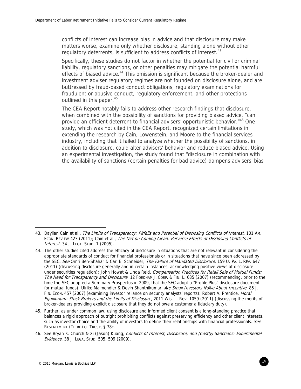conflicts of interest can increase bias in advice and that disclosure may make matters worse, examine only whether disclosure, standing alone without other regulatory deterrents, is sufficient to address conflicts of interest. $43$ 

Specifically, these studies do not factor in whether the potential for civil or criminal liability, regulatory sanctions, or other penalties may mitigate the potential harmful effects of biased advice.<sup>44</sup> This omission is significant because the broker-dealer and investment adviser regulatory regimes are not founded on disclosure alone, and are buttressed by fraud-based conduct obligations, regulatory examinations for fraudulent or abusive conduct, regulatory enforcement, and other protections outlined in this paper.  $45$ 

The CEA Report notably fails to address other research findings that disclosure, when combined with the possibility of sanctions for providing biased advice, "can provide an efficient deterrent to financial advisers' opportunistic behavior."<sup>46</sup> One study, which was not cited in the CEA Report, recognized certain limitations in extending the research by Cain, Lowenstein, and Moore to the financial services industry, including that it failed to analyze whether the possibility of sanctions, in addition to disclosure, could alter advisers' behavior and reduce biased advice. Using an experimental investigation, the study found that "disclosure in combination with the availability of sanctions (certain penalties for bad advice) dampens advisers' bias

<sup>43.</sup> Daylian Cain et al., The Limits of Transparency: Pitfalls and Potential of Disclosing Conflicts of Interest, 101 Am. ECON. REVIEW 423 (2011); Cain et al., The Dirt on Coming Clean: Perverse Effects of Disclosing Conflicts of Interest, 34 J. LEGAL STUD. 1 (2005).

<sup>44.</sup> The other studies cited address the efficacy of disclosure in situations that are not relevant in considering the appropriate standards of conduct for financial professionals or in situations that have since been addressed by the SEC. See Omri Ben-Shahar & Carl E. Schneider, The Failure of Mandated Disclosure, 159 U. PA. L. REV. 647 (2011) (discussing disclosure generally and in certain instances, acknowledging positive views of disclosure under securities requlation); John Howat & Linda Reid, Compensation Practices for Retail Sale of Mutual Funds: The Need for Transparency and Disclosure, 12 FORDHAM J. CORP. & FIN. L. 685 (2007) (recommending, prior to the time the SEC adopted a Summary Prospectus in 2009, that the SEC adopt a "Profile Plus" disclosure document for mutual funds); Ulrike Malmendier & Devin Shanthikumar, Are Small Investors Naïve About Incentive, 85 J. FIN. Econ. 457 (2007) (examining investor reliance on security analysts' reports); Robert A. Prentice, Moral Equilibrium: Stock Brokers and the Limits of Disclosure, 2011 Wis. L. Rev. 1059 (2011) (discussing the merits of broker-dealers providing explicit disclosure that they do not owe a customer a fiduciary duty).

<sup>45.</sup> Further, as under common law, using disclosure and informed client consent is a long-standing practice that balances a rigid approach of outright prohibiting conflicts against preserving efficiency and other client interests, such as investor choice and the ability of investors to define their relationships with financial professionals. See RESTATEMENT (THIRD) OF TRUSTS § 78c.

<sup>46.</sup> See Bryan K. Church & Xi (Jason) Kuang, Conflicts of Interest, Disclosure, and (Costly) Sanctions: Experimental Evidence, 38 J. LEGAL STUD. 505, 509 (2009).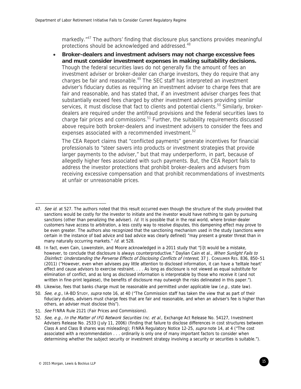markedly."<sup>47</sup> The authors' finding that disclosure plus sanctions provides meaningful protections should be acknowledged and addressed.<sup>48</sup>

 **Broker-dealers and investment advisers may not charge excessive fees and must consider investment expenses in making suitability decisions.** Though the federal securities laws do not generally fix the amount of fees an investment adviser or broker-dealer can charge investors, they do require that any charges be fair and reasonable.<sup>49</sup> The SEC staff has interpreted an investment adviser's fiduciary duties as requiring an investment adviser to charge fees that are fair and reasonable, and has stated that, if an investment adviser charges fees that substantially exceed fees charged by other investment advisers providing similar services, it must disclose that fact to clients and potential clients.<sup>50</sup> Similarly, brokerdealers are required under the antifraud provisions and the federal securities laws to charge fair prices and commissions. $51$  Further, the suitability requirements discussed above require both broker-dealers and investment advisers to consider the fees and expenses associated with a recommended investment.<sup>52</sup>

The CEA Report claims that "conflicted payments" generate incentives for financial professionals to "steer savers into products or investment strategies that provide larger payments to the adviser," but that may underperform, in part, because of allegedly higher fees associated with such payments. But, the CEA Report fails to address the investor protections that prohibit broker-dealers and advisers from receiving excessive compensation and that prohibit recommendations of investments at unfair or unreasonable prices.

49. Likewise, fees that banks charge must be reasonable and permitted under applicable law (e.g., state law).

<sup>47.</sup> See id. at 527. The authors noted that this result occurred even though the structure of the study provided that sanctions would be costly for the investor to initiate and the investor would have nothing to gain by pursuing sanctions (other than penalizing the adviser). Id. It is possible that in the real world, where broker-dealer customers have access to arbitration, a less costly way to resolve disputes, this dampening effect may prove to be even greater. The authors also recognized that the sanctioning mechanism used in the study (sanctions were certain in the instance of bad advice and bad advice was clearly defined) "may present a greater threat than in many naturally occurring markets." Id. at 528.

<sup>48.</sup> In fact, even Cain, Lowenstein, and Moore acknowledged in a 2011 study that "[i]t would be a mistake, however, to conclude that disclosure is always counterproductive." Daylian Cain et al., When Sunlight Fails to Disinfect: Understanding the Perverse Effects of Disclosing Conflicts of Interest, 37 J. Consumer Res. 836, 850-51 (2011) ("However, even when advisees pay little attention to disclosed information, it can have a 'telltale heart' effect and cause advisors to exercise restraint. . . . As long as disclosure is not viewed as equal substitute for elimination of conflict, and as long as disclosed information is interpretable by those who receive it (and not written in fine-print legalese), the benefits of disclosure may outweigh the risks delineated in this paper.").

<sup>50.</sup> See, e.g., IA-BD STUDY, supra note 16, at 40 ("The Commission staff has taken the view that as part of their fiduciary duties, advisers must charge fees that are fair and reasonable, and when an adviser's fee is higher than others, an adviser must disclose this").

<sup>51.</sup> See FINRA Rule 2121 (Fair Prices and Commissions).

<sup>52.</sup> See, e.g., In the Matter of IFG Network Securities Inc. et al., Exchange Act Release No. 54127, Investment Advisers Release No. 2533 (July 11, 2006) (finding that failure to disclose differences in cost structures between Class A and Class B shares was misleading); FINRA Regulatory Notice 12-25, supra note 14, at 4 ("The cost associated with a recommendation . . . ordinarily is only one of many important factors to consider when determining whether the subject security or investment strategy involving a security or securities is suitable.").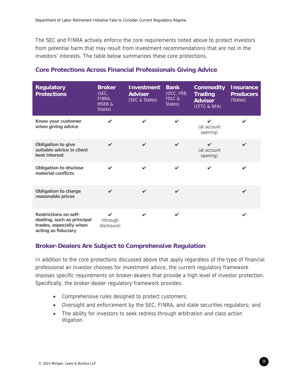The SEC and FINRA actively enforce the core requirements noted above to protect investors from potential harm that may result from investment recommendations that are not in the investors' interests. The table below summarizes these core protections.

| <b>Regulatory</b><br><b>Protections</b>                                                                      | <b>Broker</b><br>(SEC,<br>FINRA,<br><b>MSRB &amp;</b><br>States) | <b>Investment</b><br><b>Adviser</b><br>(SEC & States) | <b>Bank</b><br>(OCC, FRB,<br>FDIC &<br>States) | <b>Commodity</b><br><b>Trading</b><br><b>Advisor</b><br>(CFTC & NFA) | <b>Insurance</b><br><b>Producers</b><br>(States) |
|--------------------------------------------------------------------------------------------------------------|------------------------------------------------------------------|-------------------------------------------------------|------------------------------------------------|----------------------------------------------------------------------|--------------------------------------------------|
| Know your customer<br>when giving advice                                                                     | ✓                                                                | $\checkmark$                                          | ✓                                              | ✓<br>(at account<br>opening)                                         |                                                  |
| Obligation to give<br>suitable advice in client<br>best interest                                             | $\checkmark$                                                     | $\checkmark$                                          | $\boldsymbol{\nu}$                             | ✓<br>(at account<br>opening)                                         | ✓                                                |
| <b>Obligation to disclose</b><br>material conflicts                                                          | $\mathbf{v}$                                                     | $\checkmark$                                          | $\checkmark$                                   | ✓                                                                    |                                                  |
| Obligation to charge<br>reasonable prices                                                                    | $\checkmark$                                                     | $\checkmark$                                          | $\checkmark$                                   |                                                                      | ✓                                                |
| <b>Restrictions on self-</b><br>dealing, such as principal<br>trades, especially when<br>acting as fiduciary | $\mathbf{v}$<br>(through<br>disclosure)                          | $\checkmark$                                          | $\checkmark$                                   |                                                                      | $\boldsymbol{\nu}$                               |

## **Core Protections Across Financial Professionals Giving Advice**

## **Broker-Dealers Are Subject to Comprehensive Regulation**

In addition to the core protections discussed above that apply regardless of the type of financial professional an investor chooses for investment advice, the current regulatory framework imposes specific requirements on broker-dealers that provide a high level of investor protection. Specifically, the broker-dealer regulatory framework provides:

- Comprehensive rules designed to protect customers;
- Oversight and enforcement by the SEC, FINRA, and state securities regulators; and
- The ability for investors to seek redress through arbitration and class action litigation.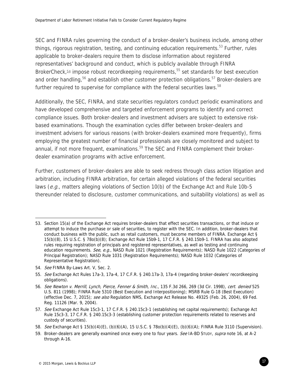SEC and FINRA rules governing the conduct of a broker-dealer's business include, among other things, rigorous registration, testing, and continuing education requirements.<sup>53</sup> Further, rules applicable to broker-dealers require them to disclose information about registered representatives' background and conduct, which is publicly available through FINRA BrokerCheck, $54$  impose robust recordkeeping requirements, $55$  set standards for best execution and order handling,<sup>56</sup> and establish other customer protection obligations.<sup>57</sup> Broker-dealers are further required to supervise for compliance with the federal securities laws.<sup>58</sup>

Additionally, the SEC, FINRA, and state securities regulators conduct periodic examinations and have developed comprehensive and targeted enforcement programs to identify and correct compliance issues. Both broker-dealers and investment advisers are subject to extensive riskbased examinations. Though the examination cycles differ between broker-dealers and investment advisers for various reasons (with broker-dealers examined more frequently), firms employing the greatest number of financial professionals are closely monitored and subject to annual, if not more frequent, examinations. $59$  The SEC and FINRA complement their brokerdealer examination programs with active enforcement.

Further, customers of broker-dealers are able to seek redress through class action litigation and arbitration, including FINRA arbitration, for certain alleged violations of the federal securities laws (e.g., matters alleging violations of Section 10(b) of the Exchange Act and Rule 10b-5 thereunder related to disclosure, customer communications, and suitability violations) as well as

<sup>53.</sup> Section 15(a) of the Exchange Act requires broker-dealers that effect securities transactions, or that induce or attempt to induce the purchase or sale of securities, to register with the SEC. In addition, broker-dealers that conduct business with the public, such as retail customers, must become members of FINRA. Exchange Act § 15(b)(8), 15 U.S.C. § 78o(b)(8); Exchange Act Rule 15b9-1, 17 C.F.R. § 240.15b9-1. FINRA has also adopted rules requiring registration of principals and registered representatives, as well as testing and continuing education requirements. See, e.g., NASD Rule 1021 (Registration Requirements); NASD Rule 1022 (Categories of Principal Registration); NASD Rule 1031 (Registration Requirements); NASD Rule 1032 (Categories of Representative Registration).

<sup>54.</sup> See FINRA By-Laws Art. V, Sec. 2.

<sup>55.</sup> See Exchange Act Rules 17a-3, 17a-4, 17 C.F.R. § 240.17a-3, 17a-4 (regarding broker-dealers' recordkeeping obligations).

<sup>56.</sup> See Newton v. Merrill, Lynch, Pierce, Fenner & Smith, Inc., 135 F.3d 266, 269 (3d Cir. 1998), cert. denied 525 U.S. 811 (1998); FINRA Rule 5310 (Best Execution and Interpositioning); MSRB Rule G-18 (Best Execution) (effective Dec. 7, 2015); see also Regulation NMS, Exchange Act Release No. 49325 (Feb. 26, 2004), 69 Fed. Reg. 11126 (Mar. 9, 2004).

<sup>57.</sup> See Exchange Act Rule 15c3-1, 17 C.F.R. § 240.15c3-1 (establishing net capital requirements); Exchange Act Rule 15c3-3, 17 C.F.R. § 240.15c3-3 (establishing customer protection requirements related to reserves and custody of securities).

<sup>58.</sup> See Exchange Act § 15(b)(4)(E), (b)(6)(A), 15 U.S.C. § 78o(b)(4)(E), (b)(6)(A); FINRA Rule 3110 (Supervision).

<sup>59.</sup> Broker-dealers are generally examined once every one to four years. See IA-BD STUDY, supra note 16, at A-2 through A-16.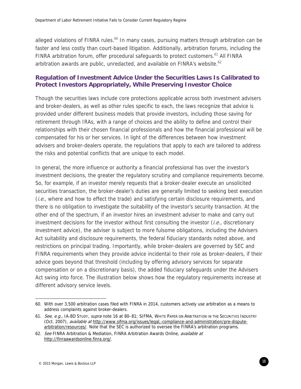alleged violations of FINRA rules.<sup>60</sup> In many cases, pursuing matters through arbitration can be faster and less costly than court-based litigation. Additionally, arbitration forums, including the FINRA arbitration forum, offer procedural safeguards to protect customers.<sup>61</sup> All FINRA arbitration awards are public, unredacted, and available on FINRA's website.<sup>62</sup>

# **Regulation of Investment Advice Under the Securities Laws Is Calibrated to Protect Investors Appropriately, While Preserving Investor Choice**

Though the securities laws include core protections applicable across both investment advisers and broker-dealers, as well as other rules specific to each, the laws recognize that advice is provided under different business models that provide investors, including those saving for retirement through IRAs, with a range of choices and the ability to define and control their relationships with their chosen financial professionals and how the financial professional will be compensated for his or her services. In light of the differences between how investment advisers and broker-dealers operate, the regulations that apply to each are tailored to address the risks and potential conflicts that are unique to each model.

In general, the more influence or authority a financial professional has over the investor's investment decisions, the greater the regulatory scrutiny and compliance requirements become. So, for example, if an investor merely requests that a broker-dealer execute an unsolicited securities transaction, the broker-dealer's duties are generally limited to seeking best execution (*i.e.*, where and how to effect the trade) and satisfying certain disclosure requirements, and there is no obligation to investigate the suitability of the investor's security transaction. At the other end of the spectrum, if an investor hires an investment adviser to make and carry out investment decisions for the investor without first consulting the investor  $(i.e.,$  discretionary investment advice), the adviser is subject to more fulsome obligations, including the Advisers Act suitability and disclosure requirements, the federal fiduciary standards noted above, and restrictions on principal trading. Importantly, while broker-dealers are governed by SEC and FINRA requirements when they provide advice incidental to their role as broker-dealers, if their advice goes beyond that threshold (including by offering advisory services for separate compensation or on a discretionary basis), the added fiduciary safeguards under the Advisers Act swing into force. The illustration below shows how the regulatory requirements increase at different advisory service levels.

 $\overline{a}$ 60. With over 3,500 arbitration cases filed with FINRA in 2014, customers actively use arbitration as a means to address complaints against broker-dealers.

<sup>61.</sup> See, e.g., IA-BD STUDY, supra note 16 at 80-81; SIFMA, WHITE PAPER ON ARBITRATION IN THE SECURITIES INDUSTRY (Oct. 2007), *available at* http://www.sifma.org/issues/legal,-compliance-and-administration/pre-disputearbitration/resources/. Note that the SEC is authorized to oversee the FINRA's arbitration programs.

<sup>62.</sup> See FINRA Arbitration & Mediation, FINRA Arbitration Awards Online, available at http://finraawardsonline.finra.org/.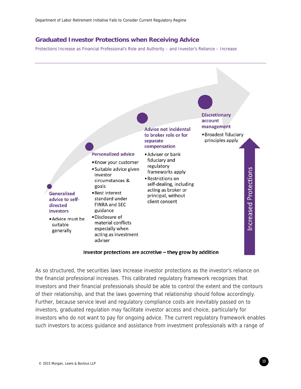### **Graduated Investor Protections when Receiving Advice**

Protections Increase as Financial Professional's Role and Authority – and Investor's Reliance – Increase



#### Investor protections are accretive - they grow by addition

As so structured, the securities laws increase investor protections as the investor's reliance on the financial professional increases. This calibrated regulatory framework recognizes that investors and their financial professionals should be able to control the extent and the contours of their relationship, and that the laws governing that relationship should follow accordingly. Further, because service level and regulatory compliance costs are inevitably passed on to investors, graduated regulation may facilitate investor access and choice, particularly for investors who do not want to pay for ongoing advice. The current regulatory framework enables such investors to access guidance and assistance from investment professionals with a range of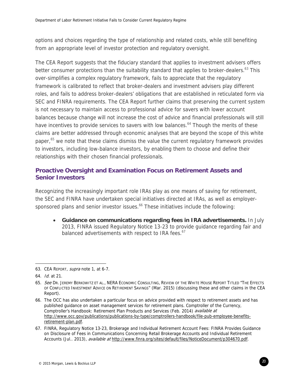options and choices regarding the type of relationship and related costs, while still benefiting from an appropriate level of investor protection and regulatory oversight.

The CEA Report suggests that the fiduciary standard that applies to investment advisers offers better consumer protections than the suitability standard that applies to broker-dealers.<sup>63</sup> This over-simplifies a complex regulatory framework, fails to appreciate that the regulatory framework is calibrated to reflect that broker-dealers and investment advisers play different roles, and fails to address broker-dealers' obligations that are established in reticulated form via SEC and FINRA requirements. The CEA Report further claims that preserving the current system is not necessary to maintain access to professional advice for savers with lower account balances because change will not increase the cost of advice and financial professionals will still have incentives to provide services to savers with low balances.<sup>64</sup> Though the merits of these claims are better addressed through economic analyses that are beyond the scope of this white paper,<sup>65</sup> we note that these claims dismiss the value the current regulatory framework provides to investors, including low-balance investors, by enabling them to choose and define their relationships with their chosen financial professionals.

# **Proactive Oversight and Examination Focus on Retirement Assets and Senior Investors**

Recognizing the increasingly important role IRAs play as one means of saving for retirement, the SEC and FINRA have undertaken special initiatives directed at IRAs, as well as employersponsored plans and senior investor issues.<sup>66</sup> These initiatives include the following:

 **Guidance on communications regarding fees in IRA advertisements.** In July 2013, FINRA issued Regulatory Notice 13-23 to provide guidance regarding fair and balanced advertisements with respect to IRA fees.<sup>67</sup>

<sup>63.</sup> CEA REPORT, supra note 1, at 6-7.

<sup>64.</sup> Id. at 21.

<sup>65.</sup> See DR. JEREMY BERKOWITZ ET AL., NERA ECONOMIC CONSULTING, REVIEW OF THE WHITE HOUSE REPORT TITLED "THE EFFECTS OF CONFLICTED INVESTMENT ADVICE ON RETIREMENT SAVINGS" (Mar. 2015) (discussing these and other claims in the CEA Report).

<sup>66.</sup> The OCC has also undertaken a particular focus on advice provided with respect to retirement assets and has published guidance on asset management services for retirement plans. Comptroller of the Currency, Comptroller's Handbook: Retirement Plan Products and Services (Feb. 2014) available at http://www.occ.gov/publications/publications-by-type/comptrollers-handbook/file-pub-employee-benefitsretirement-plan.pdf.

<sup>67.</sup> FINRA, Regulatory Notice 13-23, Brokerage and Individual Retirement Account Fees: FINRA Provides Guidance on Disclosure of Fees in Communications Concerning Retail Brokerage Accounts and Individual Retirement Accounts (Jul.. 2013), available at http://www.finra.org/sites/default/files/NoticeDocument/p304670.pdf.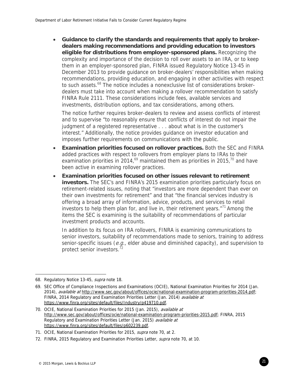**Guidance to clarify the standards and requirements that apply to brokerdealers making recommendations and providing education to investors eligible for distributions from employer-sponsored plans.** Recognizing the complexity and importance of the decision to roll over assets to an IRA, or to keep them in an employer-sponsored plan, FINRA issued Regulatory Notice 13-45 in December 2013 to provide guidance on broker-dealers' responsibilities when making recommendations, providing education, and engaging in other activities with respect to such assets.<sup>68</sup> The notice includes a nonexclusive list of considerations brokerdealers must take into account when making a rollover recommendation to satisfy FINRA Rule 2111. These considerations include fees, available services and investments, distribution options, and tax considerations, among others.

The notice further requires broker-dealers to review and assess conflicts of interest and to supervise "to reasonably ensure that conflicts of interest do not impair the judgment of a registered representative . . . about what is in the customer's interest." Additionally, the notice provides guidance on investor education and imposes further requirements on communications with the public.

- **Examination priorities focused on rollover practices.** Both the SEC and FINRA added practices with respect to rollovers from employer plans to IRAs to their examination priorities in 2014,<sup>69</sup> maintained them as priorities in 2015,<sup>70</sup> and have been active in examining rollover practices.
- **Examination priorities focused on other issues relevant to retirement investors.** The SEC's and FINRA's 2015 examination priorities particularly focus on retirement-related issues, noting that "investors are more dependent than ever on their own investments for retirement" and that "the financial services industry is offering a broad array of information, advice, products, and services to retail investors to help them plan for, and live in, their retirement years. $171$  Among the items the SEC is examining is the suitability of recommendations of particular investment products and accounts.

In addition to its focus on IRA rollovers, FINRA is examining communications to senior investors, suitability of recommendations made to seniors, training to address senior-specific issues ( $e.g.,$  elder abuse and diminished capacity), and supervision to protect senior investors.<sup>72</sup>

<sup>68.</sup> Regulatory Notice 13-45, supra note 18.

<sup>69.</sup> SEC Office of Compliance Inspections and Examinations (OCIE), National Examination Priorities for 2014 (Jan. 2014), available at http://www.sec.gov/about/offices/ocie/national-examination-program-priorities-2014.pdf; FINRA, 2014 Regulatory and Examination Priorities Letter (Jan. 2014) available at https://www.finra.org/sites/default/files/Industry/p419710.pdf.

<sup>70.</sup> OCIE, National Examination Priorities for 2015 (Jan. 2015), available at http://www.sec.gov/about/offices/ocie/national-examination-program-priorities-2015.pdf; FINRA, 2015 Regulatory and Examination Priorities Letter (Jan. 2015) available at https://www.finra.org/sites/default/files/p602239.pdf.

<sup>71.</sup> OCIE, National Examination Priorities for 2015, supra note 70, at 2.

<sup>72.</sup> FINRA, 2015 Regulatory and Examination Priorities Letter, supra note 70, at 10.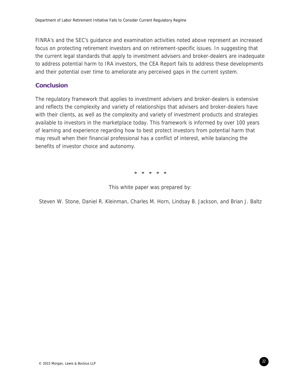FINRA's and the SEC's guidance and examination activities noted above represent an increased focus on protecting retirement investors and on retirement-specific issues. In suggesting that the current legal standards that apply to investment advisers and broker-dealers are inadequate to address potential harm to IRA investors, the CEA Report fails to address these developments and their potential over time to ameliorate any perceived gaps in the current system.

#### **Conclusion**

The regulatory framework that applies to investment advisers and broker-dealers is extensive and reflects the complexity and variety of relationships that advisers and broker-dealers have with their clients, as well as the complexity and variety of investment products and strategies available to investors in the marketplace today. This framework is informed by over 100 years of learning and experience regarding how to best protect investors from potential harm that may result when their financial professional has a conflict of interest, while balancing the benefits of investor choice and autonomy.

\* \* \* \* \*

This white paper was prepared by:

Steven W. Stone, Daniel R. Kleinman, Charles M. Horn, Lindsay B. Jackson, and Brian J. Baltz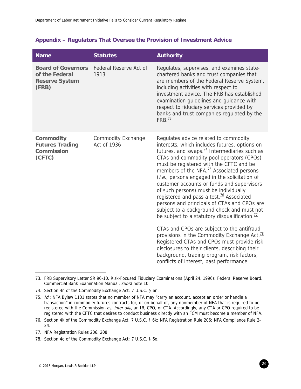## **Appendix – Regulators That Oversee the Provision of Investment Advice**

| <b>Name</b>                                                                   | <b>Statutes</b>                          | <b>Authority</b>                                                                                                                                                                                                                                                                                                                                                                                                                                                                                                                                                                                                                                    |
|-------------------------------------------------------------------------------|------------------------------------------|-----------------------------------------------------------------------------------------------------------------------------------------------------------------------------------------------------------------------------------------------------------------------------------------------------------------------------------------------------------------------------------------------------------------------------------------------------------------------------------------------------------------------------------------------------------------------------------------------------------------------------------------------------|
| <b>Board of Governors</b><br>of the Federal<br><b>Reserve System</b><br>(FRB) | Federal Reserve Act of<br>1913           | Regulates, supervises, and examines state-<br>chartered banks and trust companies that<br>are members of the Federal Reserve System,<br>including activities with respect to<br>investment advice. The FRB has established<br>examination guidelines and guidance with<br>respect to fiduciary services provided by<br>banks and trust companies regulated by the<br>FRB. <sup>73</sup>                                                                                                                                                                                                                                                             |
| <b>Commodity</b><br><b>Futures Trading</b><br><b>Commission</b><br>(CFTC)     | <b>Commodity Exchange</b><br>Act of 1936 | Regulates advice related to commodity<br>interests, which includes futures, options on<br>futures, and swaps. $74$ Intermediaries such as<br>CTAs and commodity pool operators (CPOs)<br>must be registered with the CFTC and be<br>members of the NFA. <sup>75</sup> Associated persons<br>(i.e., persons engaged in the solicitation of<br>customer accounts or funds and supervisors<br>of such persons) must be individually<br>registered and pass a test. <sup>76</sup> Associated<br>persons and principals of CTAs and CPOs are<br>subject to a background check and must not<br>be subject to a statutory disqualification. $\frac{77}{2}$ |
|                                                                               |                                          | CTAs and CPOs are subject to the antifraud<br>provisions in the Commodity Exchange Act. <sup>78</sup><br>Registered CTAs and CPOs must provide risk<br>disclosures to their clients, describing their<br>background, trading program, risk factors,<br>conflicts of interest, past performance                                                                                                                                                                                                                                                                                                                                                      |

<sup>73.</sup> FRB Supervisory Letter SR 96-10, Risk-Focused Fiduciary Examinations (April 24, 1996); Federal Reserve Board, Commercial Bank Examination Manual, supra note 10.

<sup>74.</sup> Section 4n of the Commodity Exchange Act; 7 U.S.C. § 6n.

<sup>75.</sup> Id.; NFA Bylaw 1101 states that no member of NFA may "carry an account, accept an order or handle a transaction" in commodity futures contracts for, or on behalf of, any nonmember of NFA that is required to be registered with the Commission as, inter alia, an IB, CPO, or CTA. Accordingly, any CTA or CPO required to be registered with the CFTC that desires to conduct business directly with an FCM must become a member of NFA.

<sup>76.</sup> Section 4k of the Commodity Exchange Act; 7 U.S.C. § 6k; NFA Registration Rule 206; NFA Compliance Rule 2- 24.

<sup>77.</sup> NFA Registration Rules 206, 208.

<sup>78.</sup> Section 4o of the Commodity Exchange Act; 7 U.S.C. § 6o.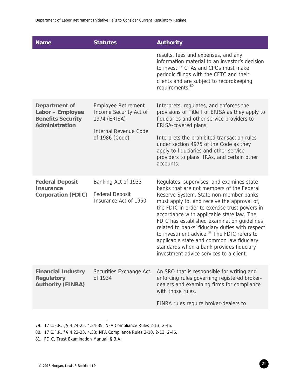| <b>Name</b>                                                                     | <b>Statutes</b>                                                                                                 | <b>Authority</b>                                                                                                                                                                                                                                                                                                                                                                                                                                                                                                                                                              |
|---------------------------------------------------------------------------------|-----------------------------------------------------------------------------------------------------------------|-------------------------------------------------------------------------------------------------------------------------------------------------------------------------------------------------------------------------------------------------------------------------------------------------------------------------------------------------------------------------------------------------------------------------------------------------------------------------------------------------------------------------------------------------------------------------------|
|                                                                                 |                                                                                                                 | results, fees and expenses, and any<br>information material to an investor's decision<br>to invest. <sup>79</sup> CTAs and CPOs must make<br>periodic filings with the CFTC and their<br>clients and are subject to recordkeeping<br>requirements. <sup>80</sup>                                                                                                                                                                                                                                                                                                              |
| Department of<br>Labor - Employee<br><b>Benefits Security</b><br>Administration | <b>Employee Retirement</b><br>Income Security Act of<br>1974 (ERISA)<br>Internal Revenue Code<br>of 1986 (Code) | Interprets, regulates, and enforces the<br>provisions of Title I of ERISA as they apply to<br>fiduciaries and other service providers to<br>ERISA-covered plans.<br>Interprets the prohibited transaction rules<br>under section 4975 of the Code as they<br>apply to fiduciaries and other service<br>providers to plans, IRAs, and certain other<br>accounts.                                                                                                                                                                                                               |
| <b>Federal Deposit</b><br><b>Insurance</b><br><b>Corporation (FDIC)</b>         | Banking Act of 1933<br><b>Federal Deposit</b><br>Insurance Act of 1950                                          | Regulates, supervises, and examines state<br>banks that are not members of the Federal<br>Reserve System. State non-member banks<br>must apply to, and receive the approval of,<br>the FDIC in order to exercise trust powers in<br>accordance with applicable state law. The<br>FDIC has established examination guidelines<br>related to banks' fiduciary duties with respect<br>to investment advice. <sup>81</sup> The FDIC refers to<br>applicable state and common law fiduciary<br>standards when a bank provides fiduciary<br>investment advice services to a client. |
| <b>Financial Industry</b><br><b>Regulatory</b><br><b>Authority (FINRA)</b>      | Securities Exchange Act<br>of 1934                                                                              | An SRO that is responsible for writing and<br>enforcing rules governing registered broker-<br>dealers and examining firms for compliance<br>with those rules.                                                                                                                                                                                                                                                                                                                                                                                                                 |
|                                                                                 |                                                                                                                 | FINRA rules require broker-dealers to                                                                                                                                                                                                                                                                                                                                                                                                                                                                                                                                         |

<sup>79. 17</sup> C.F.R. §§ 4.24-25, 4.34-35; NFA Compliance Rules 2-13, 2-46.

<sup>80. 17</sup> C.F.R. §§ 4.22-23, 4.33; NFA Compliance Rules 2-10, 2-13, 2-46.

<sup>81.</sup> FDIC, Trust Examination Manual, § 3.A.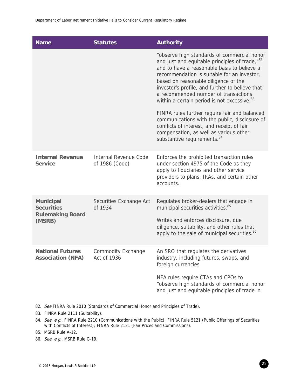| <b>Name</b>                                                                | <b>Statutes</b>                                | <b>Authority</b>                                                                                                                                                                                                                                                                                                                                                                                      |
|----------------------------------------------------------------------------|------------------------------------------------|-------------------------------------------------------------------------------------------------------------------------------------------------------------------------------------------------------------------------------------------------------------------------------------------------------------------------------------------------------------------------------------------------------|
|                                                                            |                                                | "observe high standards of commercial honor<br>and just and equitable principles of trade," <sup>82</sup><br>and to have a reasonable basis to believe a<br>recommendation is suitable for an investor,<br>based on reasonable diligence of the<br>investor's profile, and further to believe that<br>a recommended number of transactions<br>within a certain period is not excessive. <sup>83</sup> |
|                                                                            |                                                | FINRA rules further require fair and balanced<br>communications with the public, disclosure of<br>conflicts of interest, and receipt of fair<br>compensation, as well as various other<br>substantive requirements. <sup>84</sup>                                                                                                                                                                     |
| <b>Internal Revenue</b><br><b>Service</b>                                  | <b>Internal Revenue Code</b><br>of 1986 (Code) | Enforces the prohibited transaction rules<br>under section 4975 of the Code as they<br>apply to fiduciaries and other service<br>providers to plans, IRAs, and certain other<br>accounts.                                                                                                                                                                                                             |
| <b>Municipal</b><br><b>Securities</b><br><b>Rulemaking Board</b><br>(MSRB) | Securities Exchange Act<br>of 1934             | Regulates broker-dealers that engage in<br>municipal securities activities. <sup>85</sup><br>Writes and enforces disclosure, due<br>diligence, suitability, and other rules that<br>apply to the sale of municipal securities. <sup>86</sup>                                                                                                                                                          |
| <b>National Futures</b><br><b>Association (NFA)</b>                        | <b>Commodity Exchange</b><br>Act of 1936       | An SRO that regulates the derivatives<br>industry, including futures, swaps, and<br>foreign currencies.                                                                                                                                                                                                                                                                                               |
|                                                                            |                                                | NFA rules require CTAs and CPOs to<br>"observe high standards of commercial honor<br>and just and equitable principles of trade in                                                                                                                                                                                                                                                                    |

<sup>82.</sup> See FINRA Rule 2010 (Standards of Commercial Honor and Principles of Trade).

<sup>83.</sup> FINRA Rule 2111 (Suitability).

<sup>84.</sup> See, e.g., FINRA Rule 2210 (Communications with the Public); FINRA Rule 5121 (Public Offerings of Securities with Conflicts of Interest); FINRA Rule 2121 (Fair Prices and Commissions).

<sup>85.</sup> MSRB Rule A-12.

<sup>86.</sup> See, e.g., MSRB Rule G-19.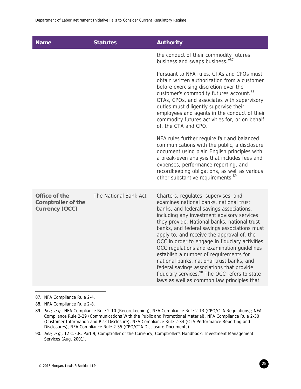| <b>Name</b>                                                  | <b>Statutes</b>       | <b>Authority</b>                                                                                                                                                                                                                                                                                                                                                                                                                                                                                                                                                                                                                                                        |
|--------------------------------------------------------------|-----------------------|-------------------------------------------------------------------------------------------------------------------------------------------------------------------------------------------------------------------------------------------------------------------------------------------------------------------------------------------------------------------------------------------------------------------------------------------------------------------------------------------------------------------------------------------------------------------------------------------------------------------------------------------------------------------------|
|                                                              |                       | the conduct of their commodity futures<br>business and swaps business."87                                                                                                                                                                                                                                                                                                                                                                                                                                                                                                                                                                                               |
|                                                              |                       | Pursuant to NFA rules, CTAs and CPOs must<br>obtain written authorization from a customer<br>before exercising discretion over the<br>customer's commodity futures account. <sup>88</sup><br>CTAs, CPOs, and associates with supervisory<br>duties must diligently supervise their<br>employees and agents in the conduct of their<br>commodity futures activities for, or on behalf<br>of, the CTA and CPO.                                                                                                                                                                                                                                                            |
|                                                              |                       | NFA rules further require fair and balanced<br>communications with the public, a disclosure<br>document using plain English principles with<br>a break-even analysis that includes fees and<br>expenses, performance reporting, and<br>recordkeeping obligations, as well as various<br>other substantive requirements. <sup>89</sup>                                                                                                                                                                                                                                                                                                                                   |
| Office of the<br><b>Comptroller of the</b><br>Currency (OCC) | The National Bank Act | Charters, regulates, supervises, and<br>examines national banks, national trust<br>banks, and federal savings associations,<br>including any investment advisory services<br>they provide. National banks, national trust<br>banks, and federal savings associations must<br>apply to, and receive the approval of, the<br>OCC in order to engage in fiduciary activities.<br>OCC regulations and examination guidelines<br>establish a number of requirements for<br>national banks, national trust banks, and<br>federal savings associations that provide<br>fiduciary services. <sup>90</sup> The OCC refers to state<br>laws as well as common law principles that |

87. NFA Compliance Rule 2-4.

 $\overline{a}$ 

88. NFA Compliance Rule 2-8.

<sup>89.</sup> See, e.g., NFA Compliance Rule 2-10 (Recordkeeping), NFA Compliance Rule 2-13 (CPO/CTA Regulations); NFA Compliance Rule 2-29 (Communications With the Public and Promotional Material), NFA Compliance Rule 2-30 (Customer Information and Risk Disclosure), NFA Compliance Rule 2-34 (CTA Performance Reporting and Disclosures), NFA Compliance Rule 2-35 (CPO/CTA Disclosure Documents).

<sup>90.</sup> See, e.g., 12 C.F.R. Part 9; Comptroller of the Currency, Comptroller's Handbook: Investment Management Services (Aug. 2001).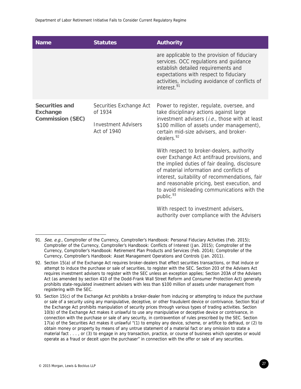| <b>Name</b>                                                  | <b>Statutes</b>                                                                 | <b>Authority</b>                                                                                                                                                                                                                                                                                                                                                |
|--------------------------------------------------------------|---------------------------------------------------------------------------------|-----------------------------------------------------------------------------------------------------------------------------------------------------------------------------------------------------------------------------------------------------------------------------------------------------------------------------------------------------------------|
|                                                              |                                                                                 | are applicable to the provision of fiduciary<br>services. OCC regulations and guidance<br>establish detailed requirements and<br>expectations with respect to fiduciary<br>activities, including avoidance of conflicts of<br>interest. <sup>91</sup>                                                                                                           |
| Securities and<br><b>Exchange</b><br><b>Commission (SEC)</b> | Securities Exchange Act<br>of 1934<br><b>Investment Advisers</b><br>Act of 1940 | Power to register, regulate, oversee, and<br>take disciplinary actions against large<br>investment advisers (i.e., those with at least<br>\$100 million of assets under management),<br>certain mid-size advisers, and broker-<br>dealers. <sup>92</sup>                                                                                                        |
|                                                              |                                                                                 | With respect to broker-dealers, authority<br>over Exchange Act antifraud provisions, and<br>the implied duties of fair dealing, disclosure<br>of material information and conflicts of<br>interest, suitability of recommendations, fair<br>and reasonable pricing, best execution, and<br>to avoid misleading communications with the<br>public. <sup>93</sup> |
|                                                              |                                                                                 | With respect to investment advisers,<br>authority over compliance with the Advisers                                                                                                                                                                                                                                                                             |

<sup>91.</sup> See, e.g., Comptroller of the Currency, Comptroller's Handbook: Personal Fiduciary Activities (Feb. 2015); Comptroller of the Currency, Comptroller's Handbook: Conflicts of Interest (Jan. 2015); Comptroller of the Currency, Comptroller's Handbook: Retirement Plan Products and Services (Feb. 2014); Comptroller of the Currency, Comptroller's Handbook: Asset Management Operations and Controls (Jan. 2011).

<sup>92.</sup> Section 15(a) of the Exchange Act requires broker-dealers that effect securities transactions, or that induce or attempt to induce the purchase or sale of securities, to register with the SEC. Section 203 of the Advisers Act requires investment advisers to register with the SEC unless an exception applies; Section 203A of the Advisers Act (as amended by section 410 of the Dodd-Frank Wall Street Reform and Consumer Protection Act) generally prohibits state-regulated investment advisers with less than \$100 million of assets under management from registering with the SEC.

<sup>93.</sup> Section 15(c) of the Exchange Act prohibits a broker-dealer from inducing or attempting to induce the purchase or sale of a security using any manipulative, deceptive, or other fraudulent device or contrivance. Section 9(a) of the Exchange Act prohibits manipulation of security prices through various types of trading activities. Section 10(b) of the Exchange Act makes it unlawful to use any manipulative or deceptive device or contrivance, in connection with the purchase or sale of any security, in contravention of rules prescribed by the SEC. Section 17(a) of the Securities Act makes it unlawful "(1) to employ any device, scheme, or artifice to defraud, or (2) to obtain money or property by means of any untrue statement of a material fact or any omission to state a material fact . . . , or (3) to engage in any transaction, practice, or course of business which operates or would operate as a fraud or deceit upon the purchaser" in connection with the offer or sale of any securities.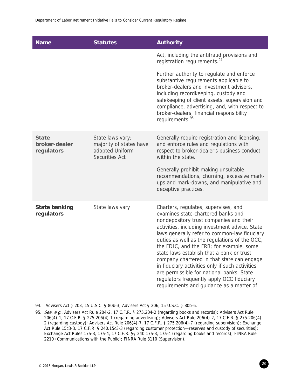| <b>Name</b>                                 | <b>Statutes</b>                                                                  | <b>Authority</b>                                                                                                                                                                                                                                                                                                                                                                                                                                                                                                                                                                                         |
|---------------------------------------------|----------------------------------------------------------------------------------|----------------------------------------------------------------------------------------------------------------------------------------------------------------------------------------------------------------------------------------------------------------------------------------------------------------------------------------------------------------------------------------------------------------------------------------------------------------------------------------------------------------------------------------------------------------------------------------------------------|
|                                             |                                                                                  | Act, including the antifraud provisions and<br>registration requirements. <sup>94</sup>                                                                                                                                                                                                                                                                                                                                                                                                                                                                                                                  |
|                                             |                                                                                  | Further authority to regulate and enforce<br>substantive requirements applicable to<br>broker-dealers and investment advisers,<br>including recordkeeping, custody and<br>safekeeping of client assets, supervision and<br>compliance, advertising, and, with respect to<br>broker-dealers, financial responsibility<br>requirements. <sup>95</sup>                                                                                                                                                                                                                                                      |
| <b>State</b><br>broker-dealer<br>regulators | State laws vary;<br>majority of states have<br>adopted Uniform<br>Securities Act | Generally require registration and licensing,<br>and enforce rules and regulations with<br>respect to broker-dealer's business conduct<br>within the state.<br>Generally prohibit making unsuitable<br>recommendations, churning, excessive mark-<br>ups and mark-downs, and manipulative and<br>deceptive practices.                                                                                                                                                                                                                                                                                    |
| <b>State banking</b><br>regulators          | State laws vary                                                                  | Charters, regulates, supervises, and<br>examines state-chartered banks and<br>nondepository trust companies and their<br>activities, including investment advice. State<br>laws generally refer to common-law fiduciary<br>duties as well as the regulations of the OCC,<br>the FDIC, and the FRB; for example, some<br>state laws establish that a bank or trust<br>company chartered in that state can engage<br>in fiduciary activities only if such activities<br>are permissible for national banks. State<br>regulators frequently apply OCC fiduciary<br>requirements and guidance as a matter of |

<sup>94.</sup> Advisers Act § 203, 15 U.S.C. § 80b-3; Advisers Act § 206, 15 U.S.C. § 80b-6.

<sup>95.</sup> See, e.g., Advisers Act Rule 204-2, 17 C.F.R. § 275.204-2 (regarding books and records); Advisers Act Rule 206(4)-1, 17 C.F.R. § 275.206(4)-1 (regarding advertising); Advisers Act Rule 206(4)-2, 17 C.F.R. § 275.206(4)- 2 (regarding custody); Advisers Act Rule 206(4)-7, 17 C.F.R. § 275.206(4)-7 (regarding supervision); Exchange Act Rule 15c3-3, 17 C.F.R. § 240.15c3-3 (regarding customer protection—reserves and custody of securities); Exchange Act Rules 17a-3, 17a-4, 17 C.F.R. §§ 240.17a-3, 17a-4 (regarding books and records); FINRA Rule 2210 (Communications with the Public); FINRA Rule 3110 (Supervision).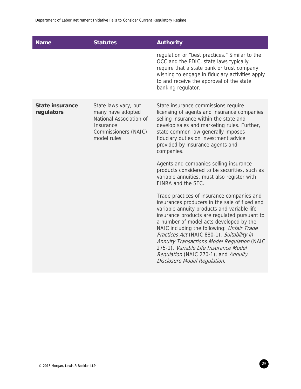| <b>Name</b>                          | <b>Statutes</b>                                                                                                          | <b>Authority</b>                                                                                                                                                                                                                                                                                                                                                                                                                                                                                                        |
|--------------------------------------|--------------------------------------------------------------------------------------------------------------------------|-------------------------------------------------------------------------------------------------------------------------------------------------------------------------------------------------------------------------------------------------------------------------------------------------------------------------------------------------------------------------------------------------------------------------------------------------------------------------------------------------------------------------|
|                                      |                                                                                                                          | regulation or "best practices." Similar to the<br>OCC and the FDIC, state laws typically<br>require that a state bank or trust company<br>wishing to engage in fiduciary activities apply<br>to and receive the approval of the state<br>banking regulator.                                                                                                                                                                                                                                                             |
| <b>State insurance</b><br>regulators | State laws vary, but<br>many have adopted<br>National Association of<br>Insurance<br>Commissioners (NAIC)<br>model rules | State insurance commissions require<br>licensing of agents and insurance companies<br>selling insurance within the state and<br>develop sales and marketing rules. Further,<br>state common law generally imposes<br>fiduciary duties on investment advice<br>provided by insurance agents and<br>companies.<br>Agents and companies selling insurance<br>products considered to be securities, such as<br>variable annuities, must also register with                                                                  |
|                                      |                                                                                                                          | FINRA and the SEC.<br>Trade practices of insurance companies and<br>insurances producers in the sale of fixed and<br>variable annuity products and variable life<br>insurance products are regulated pursuant to<br>a number of model acts developed by the<br>NAIC including the following: Unfair Trade<br>Practices Act (NAIC 880-1), Suitability in<br>Annuity Transactions Model Regulation (NAIC<br>275-1), Variable Life Insurance Model<br>Regulation (NAIC 270-1), and Annuity<br>Disclosure Model Regulation. |